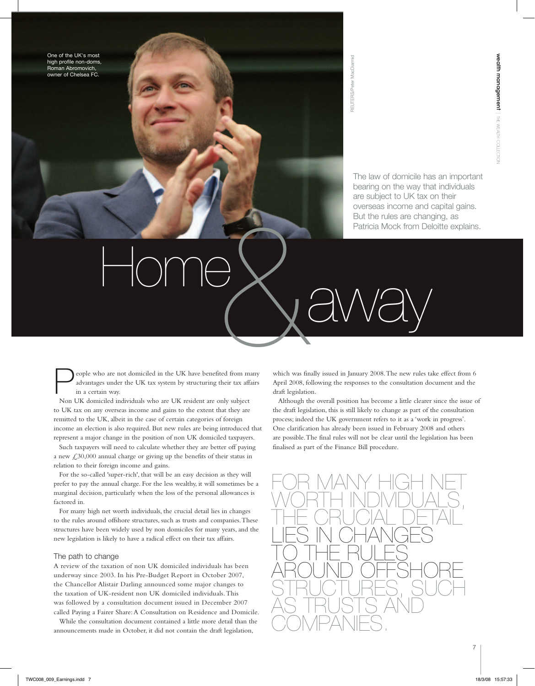One of the UK's most high profile non-doms, Roman Abromovich, owner of Chelsea FC.

The law of domicile has an important bearing on the way that individuals are subject to UK tax on their overseas income and capital gains. But the rules are changing, as Patricia Mock from Deloitte explains. Free law of domicile has beening on the way that are subject to UK tax overseas income and But the rules are changed and  $\overrightarrow{Patrical \text{ Mock from De}}$ 

People who are not domiciled in the UK have benefited from many<br>advantages under the UK tax system by structuring their tax affairs<br>in a certain way. advantages under the UK tax system by structuring their tax affairs in a certain way. Home Canadian the UK have benefied from many which was find

Non UK domiciled individuals who are UK resident are only subject to UK tax on any overseas income and gains to the extent that they are remitted to the UK, albeit in the case of certain categories of foreign income an election is also required. But new rules are being introduced that represent a major change in the position of non UK domiciled taxpayers.

Such taxpayers will need to calculate whether they are better off paying a new  $\text{\textsterling}30,000$  annual charge or giving up the benefits of their status in relation to their foreign income and gains.

For the so-called 'super-rich', that will be an easy decision as they will prefer to pay the annual charge. For the less wealthy, it will sometimes be a marginal decision, particularly when the loss of the personal allowances is factored in.

For many high net worth individuals, the crucial detail lies in changes to the rules around offshore structures, such as trusts and companies. These structures have been widely used by non domiciles for many years, and the new legislation is likely to have a radical effect on their tax affairs.

## The path to change

A review of the taxation of non UK domiciled individuals has been underway since 2003. In his Pre-Budget Report in October 2007, the Chancellor Alistair Darling announced some major changes to the taxation of UK-resident non UK domiciled individuals. This was followed by a consultation document issued in December 2007 called Paying a Fairer Share: A Consultation on Residence and Domicile.

While the consultation document contained a little more detail than the announcements made in October, it did not contain the draft legislation,

which was finally issued in January 2008. The new rules take effect from 6 April 2008, following the responses to the consultation document and the draft legislation.

Although the overall position has become a little clearer since the issue of the draft legislation, this is still likely to change as part of the consultation process; indeed the UK government refers to it as a 'work in progress'. One clarification has already been issued in February 2008 and others are possible. The final rules will not be clear until the legislation has been finalised as part of the Finance Bill procedure.